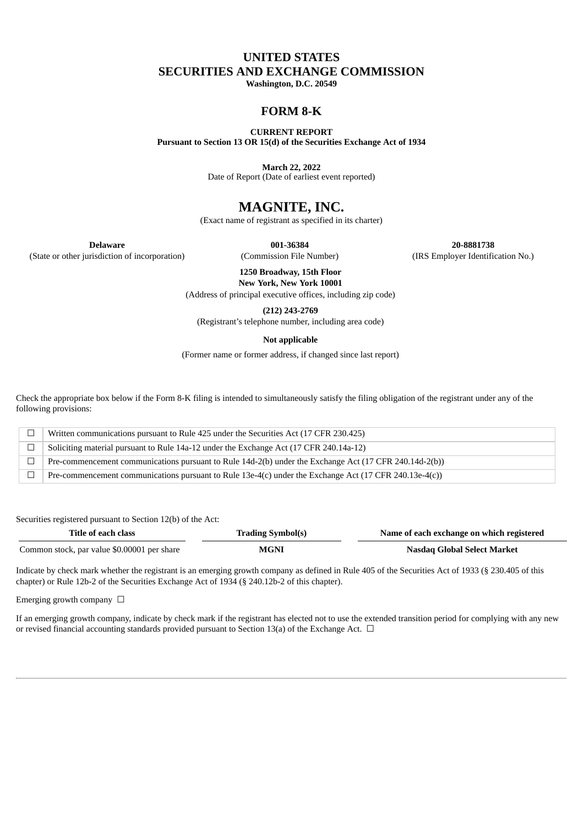# **UNITED STATES SECURITIES AND EXCHANGE COMMISSION**

**Washington, D.C. 20549**

# **FORM 8-K**

#### **CURRENT REPORT**

**Pursuant to Section 13 OR 15(d) of the Securities Exchange Act of 1934**

**March 22, 2022**

Date of Report (Date of earliest event reported)

# **MAGNITE, INC.**

(Exact name of registrant as specified in its charter)

**Delaware 001-36384 20-8881738** (State or other jurisdiction of incorporation) (Commission File Number) (IRS Employer Identification No.)

**1250 Broadway, 15th Floor New York, New York 10001**

(Address of principal executive offices, including zip code)

**(212) 243-2769**

(Registrant's telephone number, including area code)

**Not applicable**

(Former name or former address, if changed since last report)

Check the appropriate box below if the Form 8-K filing is intended to simultaneously satisfy the filing obligation of the registrant under any of the following provisions:

| Written communications pursuant to Rule 425 under the Securities Act (17 CFR 230.425)                  |
|--------------------------------------------------------------------------------------------------------|
| Soliciting material pursuant to Rule 14a-12 under the Exchange Act (17 CFR 240.14a-12)                 |
| Pre-commencement communications pursuant to Rule 14d-2(b) under the Exchange Act (17 CFR 240.14d-2(b)) |
| Pre-commencement communications pursuant to Rule 13e-4(c) under the Exchange Act (17 CFR 240.13e-4(c)) |

Securities registered pursuant to Section 12(b) of the Act:

| Title of each class                         | <b>Trading Symbol(s)</b> | Name of each exchange on which registered |
|---------------------------------------------|--------------------------|-------------------------------------------|
| Common stock, par value \$0.00001 per share | <b>MGNI</b>              | Nasdag Global Select Market               |

Indicate by check mark whether the registrant is an emerging growth company as defined in Rule 405 of the Securities Act of 1933 (§ 230.405 of this chapter) or Rule 12b-2 of the Securities Exchange Act of 1934 (§ 240.12b-2 of this chapter).

Emerging growth company  $\Box$ 

If an emerging growth company, indicate by check mark if the registrant has elected not to use the extended transition period for complying with any new or revised financial accounting standards provided pursuant to Section 13(a) of the Exchange Act.  $\Box$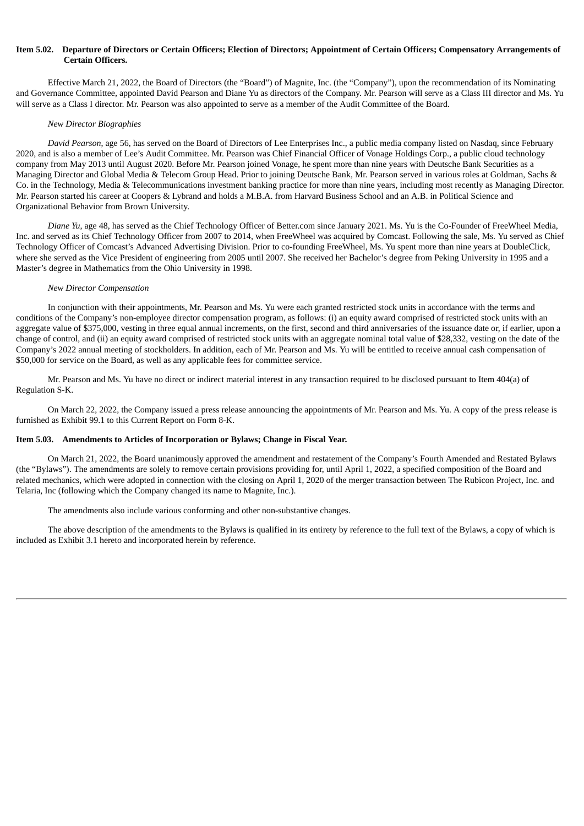### Item 5.02. Departure of Directors or Certain Officers; Election of Directors; Appointment of Certain Officers; Compensatory Arrangements of **Certain Officers.**

Effective March 21, 2022, the Board of Directors (the "Board") of Magnite, Inc. (the "Company"), upon the recommendation of its Nominating and Governance Committee, appointed David Pearson and Diane Yu as directors of the Company. Mr. Pearson will serve as a Class III director and Ms. Yu will serve as a Class I director. Mr. Pearson was also appointed to serve as a member of the Audit Committee of the Board.

#### *New Director Biographies*

*David Pearson*, age 56, has served on the Board of Directors of Lee Enterprises Inc., a public media company listed on Nasdaq, since February 2020, and is also a member of Lee's Audit Committee. Mr. Pearson was Chief Financial Officer of Vonage Holdings Corp., a public cloud technology company from May 2013 until August 2020. Before Mr. Pearson joined Vonage, he spent more than nine years with Deutsche Bank Securities as a Managing Director and Global Media & Telecom Group Head. Prior to joining Deutsche Bank, Mr. Pearson served in various roles at Goldman, Sachs & Co. in the Technology, Media & Telecommunications investment banking practice for more than nine years, including most recently as Managing Director. Mr. Pearson started his career at Coopers & Lybrand and holds a M.B.A. from Harvard Business School and an A.B. in Political Science and Organizational Behavior from Brown University.

*Diane Yu*, age 48, has served as the Chief Technology Officer of Better.com since January 2021. Ms. Yu is the Co-Founder of FreeWheel Media, Inc. and served as its Chief Technology Officer from 2007 to 2014, when FreeWheel was acquired by Comcast. Following the sale, Ms. Yu served as Chief Technology Officer of Comcast's Advanced Advertising Division. Prior to co-founding FreeWheel, Ms. Yu spent more than nine years at DoubleClick, where she served as the Vice President of engineering from 2005 until 2007. She received her Bachelor's degree from Peking University in 1995 and a Master's degree in Mathematics from the Ohio University in 1998.

#### *New Director Compensation*

In conjunction with their appointments, Mr. Pearson and Ms. Yu were each granted restricted stock units in accordance with the terms and conditions of the Company's non-employee director compensation program, as follows: (i) an equity award comprised of restricted stock units with an aggregate value of \$375,000, vesting in three equal annual increments, on the first, second and third anniversaries of the issuance date or, if earlier, upon a change of control, and (ii) an equity award comprised of restricted stock units with an aggregate nominal total value of \$28,332, vesting on the date of the Company's 2022 annual meeting of stockholders. In addition, each of Mr. Pearson and Ms. Yu will be entitled to receive annual cash compensation of \$50,000 for service on the Board, as well as any applicable fees for committee service.

Mr. Pearson and Ms. Yu have no direct or indirect material interest in any transaction required to be disclosed pursuant to Item 404(a) of Regulation S-K.

On March 22, 2022, the Company issued a press release announcing the appointments of Mr. Pearson and Ms. Yu. A copy of the press release is furnished as Exhibit 99.1 to this Current Report on Form 8-K.

#### **Item 5.03. Amendments to Articles of Incorporation or Bylaws; Change in Fiscal Year.**

On March 21, 2022, the Board unanimously approved the amendment and restatement of the Company's Fourth Amended and Restated Bylaws (the "Bylaws"). The amendments are solely to remove certain provisions providing for, until April 1, 2022, a specified composition of the Board and related mechanics, which were adopted in connection with the closing on April 1, 2020 of the merger transaction between The Rubicon Project, Inc. and Telaria, Inc (following which the Company changed its name to Magnite, Inc.).

The amendments also include various conforming and other non-substantive changes.

The above description of the amendments to the Bylaws is qualified in its entirety by reference to the full text of the Bylaws, a copy of which is included as Exhibit 3.1 hereto and incorporated herein by reference.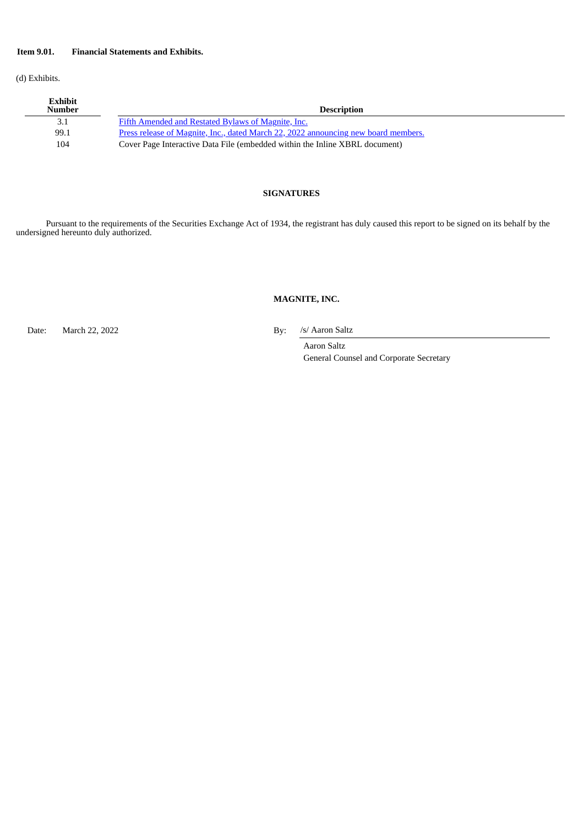# **Item 9.01. Financial Statements and Exhibits.**

(d) Exhibits.

| <b>Exhibit</b><br><b>Number</b> | <b>Description</b>                                                                 |  |  |
|---------------------------------|------------------------------------------------------------------------------------|--|--|
| 3.1                             | Fifth Amended and Restated Bylaws of Magnite, Inc.                                 |  |  |
| 99.1                            | Press release of Magnite, Inc., dated March 22, 2022 announcing new board members. |  |  |
| 104                             | Cover Page Interactive Data File (embedded within the Inline XBRL document)        |  |  |

### **SIGNATURES**

Pursuant to the requirements of the Securities Exchange Act of 1934, the registrant has duly caused this report to be signed on its behalf by the undersigned hereunto duly authorized.

# **MAGNITE, INC.**

Date: March 22, 2022 By: /s/ Aaron Saltz

Aaron Saltz General Counsel and Corporate Secretary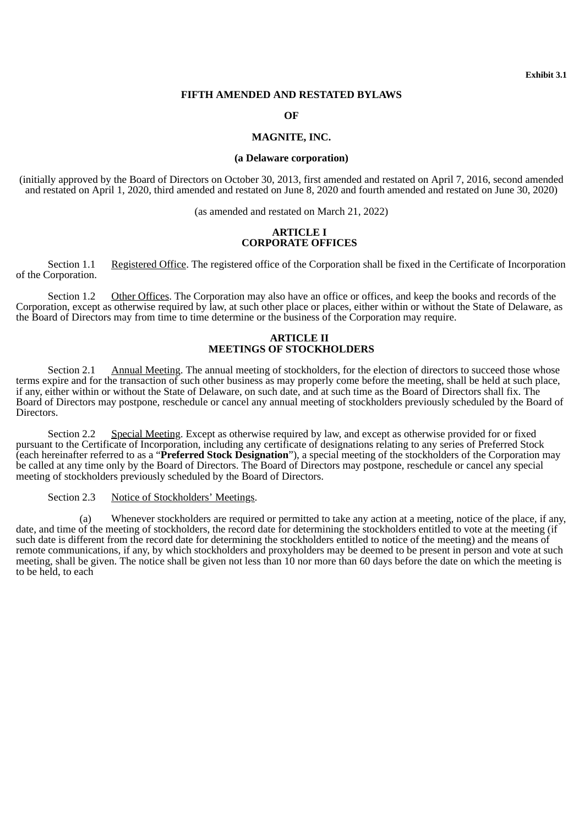# **FIFTH AMENDED AND RESTATED BYLAWS**

**OF**

# **MAGNITE, INC.**

#### **(a Delaware corporation)**

<span id="page-3-0"></span>(initially approved by the Board of Directors on October 30, 2013, first amended and restated on April 7, 2016, second amended and restated on April 1, 2020, third amended and restated on June 8, 2020 and fourth amended and restated on June 30, 2020)

(as amended and restated on March 21, 2022)

### **ARTICLE I CORPORATE OFFICES**

Section 1.1 Registered Office. The registered office of the Corporation shall be fixed in the Certificate of Incorporation of the Corporation.

Section 1.2 Other Offices. The Corporation may also have an office or offices, and keep the books and records of the Corporation, except as otherwise required by law, at such other place or places, either within or without the State of Delaware, as the Board of Directors may from time to time determine or the business of the Corporation may require.

### **ARTICLE II MEETINGS OF STOCKHOLDERS**

Section 2.1 Annual Meeting. The annual meeting of stockholders, for the election of directors to succeed those whose terms expire and for the transaction of such other business as may properly come before the meeting, shall be held at such place, if any, either within or without the State of Delaware, on such date, and at such time as the Board of Directors shall fix. The Board of Directors may postpone, reschedule or cancel any annual meeting of stockholders previously scheduled by the Board of Directors.

Section 2.2 Special Meeting. Except as otherwise required by law, and except as otherwise provided for or fixed pursuant to the Certificate of Incorporation, including any certificate of designations relating to any series of Preferred Stock (each hereinafter referred to as a "**Preferred Stock Designation**"), a special meeting of the stockholders of the Corporation may be called at any time only by the Board of Directors. The Board of Directors may postpone, reschedule or cancel any special meeting of stockholders previously scheduled by the Board of Directors.

Section 2.3 Notice of Stockholders' Meetings.

(a) Whenever stockholders are required or permitted to take any action at a meeting, notice of the place, if any, date, and time of the meeting of stockholders, the record date for determining the stockholders entitled to vote at the meeting (if such date is different from the record date for determining the stockholders entitled to notice of the meeting) and the means of remote communications, if any, by which stockholders and proxyholders may be deemed to be present in person and vote at such meeting, shall be given. The notice shall be given not less than 10 nor more than 60 days before the date on which the meeting is to be held, to each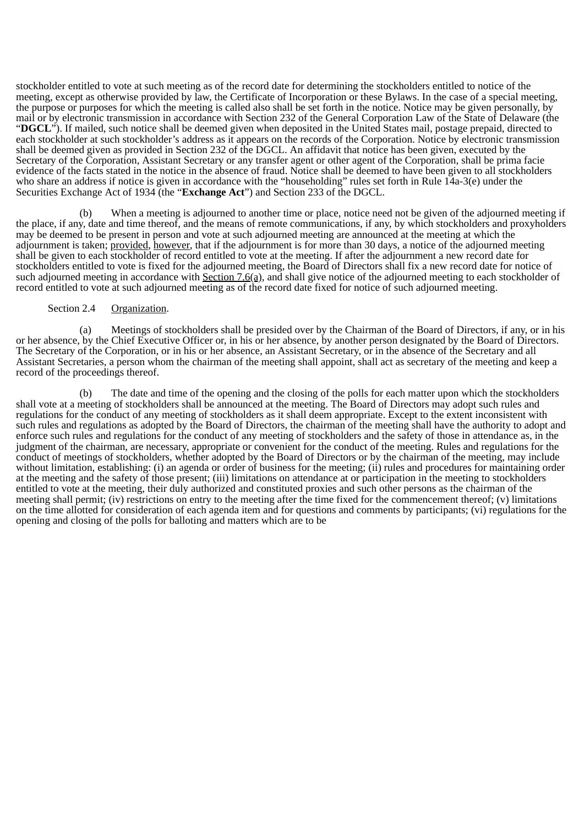stockholder entitled to vote at such meeting as of the record date for determining the stockholders entitled to notice of the meeting, except as otherwise provided by law, the Certificate of Incorporation or these Bylaws. In the case of a special meeting, the purpose or purposes for which the meeting is called also shall be set forth in the notice. Notice may be given personally, by mail or by electronic transmission in accordance with Section 232 of the General Corporation Law of the State of Delaware (the "**DGCL**"). If mailed, such notice shall be deemed given when deposited in the United States mail, postage prepaid, directed to each stockholder at such stockholder's address as it appears on the records of the Corporation. Notice by electronic transmission shall be deemed given as provided in Section 232 of the DGCL. An affidavit that notice has been given, executed by the Secretary of the Corporation, Assistant Secretary or any transfer agent or other agent of the Corporation, shall be prima facie evidence of the facts stated in the notice in the absence of fraud. Notice shall be deemed to have been given to all stockholders who share an address if notice is given in accordance with the "householding" rules set forth in Rule 14a-3(e) under the Securities Exchange Act of 1934 (the "**Exchange Act**") and Section 233 of the DGCL.

(b) When a meeting is adjourned to another time or place, notice need not be given of the adjourned meeting if the place, if any, date and time thereof, and the means of remote communications, if any, by which stockholders and proxyholders may be deemed to be present in person and vote at such adjourned meeting are announced at the meeting at which the adjournment is taken; provided, however, that if the adjournment is for more than 30 days, a notice of the adjourned meeting shall be given to each stockholder of record entitled to vote at the meeting. If after the adjournment a new record date for stockholders entitled to vote is fixed for the adjourned meeting, the Board of Directors shall fix a new record date for notice of such adjourned meeting in accordance with Section 7.6(a), and shall give notice of the adjourned meeting to each stockholder of record entitled to vote at such adjourned meeting as of the record date fixed for notice of such adjourned meeting.

# Section 2.4 Organization.

(a) Meetings of stockholders shall be presided over by the Chairman of the Board of Directors, if any, or in his or her absence, by the Chief Executive Officer or, in his or her absence, by another person designated by the Board of Directors. The Secretary of the Corporation, or in his or her absence, an Assistant Secretary, or in the absence of the Secretary and all Assistant Secretaries, a person whom the chairman of the meeting shall appoint, shall act as secretary of the meeting and keep a record of the proceedings thereof.

(b) The date and time of the opening and the closing of the polls for each matter upon which the stockholders shall vote at a meeting of stockholders shall be announced at the meeting. The Board of Directors may adopt such rules and regulations for the conduct of any meeting of stockholders as it shall deem appropriate. Except to the extent inconsistent with such rules and regulations as adopted by the Board of Directors, the chairman of the meeting shall have the authority to adopt and enforce such rules and regulations for the conduct of any meeting of stockholders and the safety of those in attendance as, in the judgment of the chairman, are necessary, appropriate or convenient for the conduct of the meeting. Rules and regulations for the conduct of meetings of stockholders, whether adopted by the Board of Directors or by the chairman of the meeting, may include without limitation, establishing: (i) an agenda or order of business for the meeting; (ii) rules and procedures for maintaining order at the meeting and the safety of those present; (iii) limitations on attendance at or participation in the meeting to stockholders entitled to vote at the meeting, their duly authorized and constituted proxies and such other persons as the chairman of the meeting shall permit; (iv) restrictions on entry to the meeting after the time fixed for the commencement thereof; (v) limitations on the time allotted for consideration of each agenda item and for questions and comments by participants; (vi) regulations for the opening and closing of the polls for balloting and matters which are to be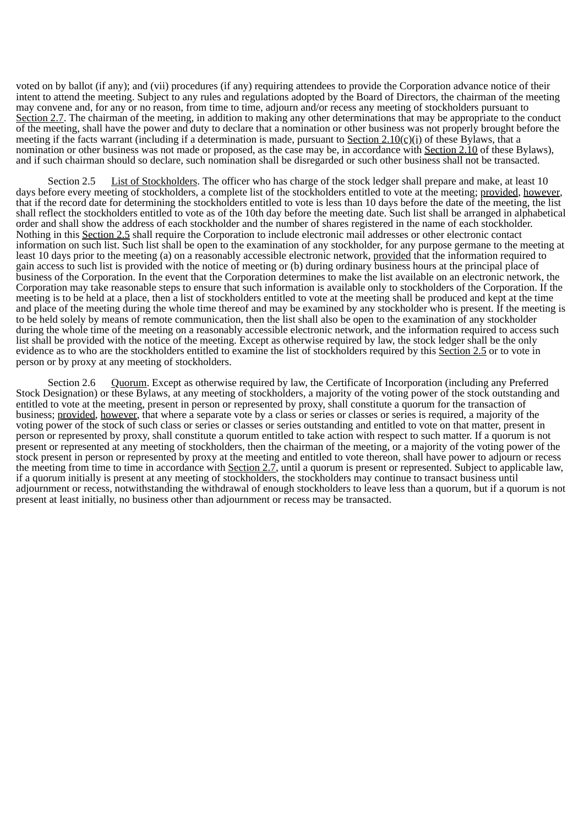voted on by ballot (if any); and (vii) procedures (if any) requiring attendees to provide the Corporation advance notice of their intent to attend the meeting. Subject to any rules and regulations adopted by the Board of Directors, the chairman of the meeting may convene and, for any or no reason, from time to time, adjourn and/or recess any meeting of stockholders pursuant to Section 2.7. The chairman of the meeting, in addition to making any other determinations that may be appropriate to the conduct of the meeting, shall have the power and duty to declare that a nomination or other business was not properly brought before the meeting if the facts warrant (including if a determination is made, pursuant to Section 2.10(c)(i) of these Bylaws, that a nomination or other business was not made or proposed, as the case may be, in accordance with Section 2.10 of these Bylaws), and if such chairman should so declare, such nomination shall be disregarded or such other business shall not be transacted.

Section 2.5 List of Stockholders. The officer who has charge of the stock ledger shall prepare and make, at least 10 days before every meeting of stockholders, a complete list of the stockholders entitled to vote at the meeting; provided, however, that if the record date for determining the stockholders entitled to vote is less than 10 days before the date of the meeting, the list shall reflect the stockholders entitled to vote as of the 10th day before the meeting date. Such list shall be arranged in alphabetical order and shall show the address of each stockholder and the number of shares registered in the name of each stockholder. Nothing in this Section 2.5 shall require the Corporation to include electronic mail addresses or other electronic contact information on such list. Such list shall be open to the examination of any stockholder, for any purpose germane to the meeting at least 10 days prior to the meeting (a) on a reasonably accessible electronic network, provided that the information required to gain access to such list is provided with the notice of meeting or (b) during ordinary business hours at the principal place of business of the Corporation. In the event that the Corporation determines to make the list available on an electronic network, the Corporation may take reasonable steps to ensure that such information is available only to stockholders of the Corporation. If the meeting is to be held at a place, then a list of stockholders entitled to vote at the meeting shall be produced and kept at the time and place of the meeting during the whole time thereof and may be examined by any stockholder who is present. If the meeting is to be held solely by means of remote communication, then the list shall also be open to the examination of any stockholder during the whole time of the meeting on a reasonably accessible electronic network, and the information required to access such list shall be provided with the notice of the meeting. Except as otherwise required by law, the stock ledger shall be the only evidence as to who are the stockholders entitled to examine the list of stockholders required by this Section 2.5 or to vote in person or by proxy at any meeting of stockholders.

Section 2.6 Quorum. Except as otherwise required by law, the Certificate of Incorporation (including any Preferred Stock Designation) or these Bylaws, at any meeting of stockholders, a majority of the voting power of the stock outstanding and entitled to vote at the meeting, present in person or represented by proxy, shall constitute a quorum for the transaction of business; provided, however, that where a separate vote by a class or series or classes or series is required, a majority of the voting power of the stock of such class or series or classes or series outstanding and entitled to vote on that matter, present in person or represented by proxy, shall constitute a quorum entitled to take action with respect to such matter. If a quorum is not present or represented at any meeting of stockholders, then the chairman of the meeting, or a majority of the voting power of the stock present in person or represented by proxy at the meeting and entitled to vote thereon, shall have power to adjourn or recess the meeting from time to time in accordance with Section 2.7, until a quorum is present or represented. Subject to applicable law, if a quorum initially is present at any meeting of stockholders, the stockholders may continue to transact business until adjournment or recess, notwithstanding the withdrawal of enough stockholders to leave less than a quorum, but if a quorum is not present at least initially, no business other than adjournment or recess may be transacted.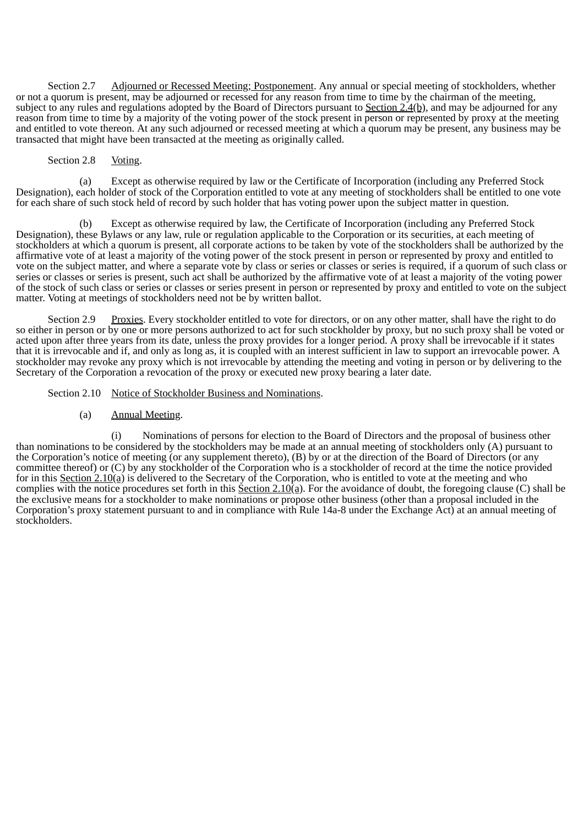Section 2.7 Adjourned or Recessed Meeting; Postponement. Any annual or special meeting of stockholders, whether or not a quorum is present, may be adjourned or recessed for any reason from time to time by the chairman of the meeting, subject to any rules and regulations adopted by the Board of Directors pursuant to Section 2.4(b), and may be adjourned for any reason from time to time by a majority of the voting power of the stock present in person or represented by proxy at the meeting and entitled to vote thereon. At any such adjourned or recessed meeting at which a quorum may be present, any business may be transacted that might have been transacted at the meeting as originally called.

# Section 2.8 Voting.

(a) Except as otherwise required by law or the Certificate of Incorporation (including any Preferred Stock Designation), each holder of stock of the Corporation entitled to vote at any meeting of stockholders shall be entitled to one vote for each share of such stock held of record by such holder that has voting power upon the subject matter in question.

(b) Except as otherwise required by law, the Certificate of Incorporation (including any Preferred Stock Designation), these Bylaws or any law, rule or regulation applicable to the Corporation or its securities, at each meeting of stockholders at which a quorum is present, all corporate actions to be taken by vote of the stockholders shall be authorized by the affirmative vote of at least a majority of the voting power of the stock present in person or represented by proxy and entitled to vote on the subject matter, and where a separate vote by class or series or classes or series is required, if a quorum of such class or series or classes or series is present, such act shall be authorized by the affirmative vote of at least a majority of the voting power of the stock of such class or series or classes or series present in person or represented by proxy and entitled to vote on the subject matter. Voting at meetings of stockholders need not be by written ballot.

Section 2.9 Proxies. Every stockholder entitled to vote for directors, or on any other matter, shall have the right to do so either in person or by one or more persons authorized to act for such stockholder by proxy, but no such proxy shall be voted or acted upon after three years from its date, unless the proxy provides for a longer period. A proxy shall be irrevocable if it states that it is irrevocable and if, and only as long as, it is coupled with an interest sufficient in law to support an irrevocable power. A stockholder may revoke any proxy which is not irrevocable by attending the meeting and voting in person or by delivering to the Secretary of the Corporation a revocation of the proxy or executed new proxy bearing a later date.

Section 2.10 Notice of Stockholder Business and Nominations.

(a) Annual Meeting.

(i) Nominations of persons for election to the Board of Directors and the proposal of business other than nominations to be considered by the stockholders may be made at an annual meeting of stockholders only (A) pursuant to the Corporation's notice of meeting (or any supplement thereto), (B) by or at the direction of the Board of Directors (or any committee thereof) or (C) by any stockholder of the Corporation who is a stockholder of record at the time the notice provided for in this Section 2.10(a) is delivered to the Secretary of the Corporation, who is entitled to vote at the meeting and who complies with the notice procedures set forth in this Section 2.10(a). For the avoidance of doubt, the foregoing clause (C) shall be the exclusive means for a stockholder to make nominations or propose other business (other than a proposal included in the Corporation's proxy statement pursuant to and in compliance with Rule 14a-8 under the Exchange Act) at an annual meeting of stockholders.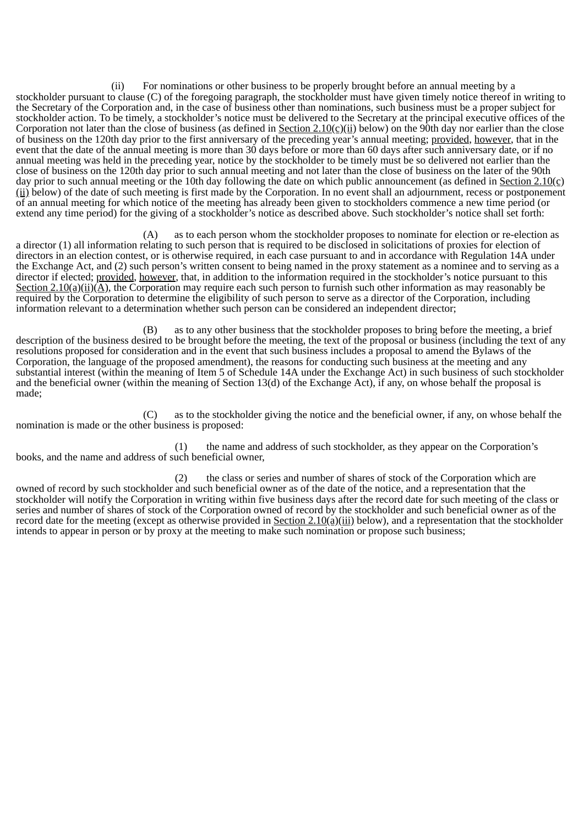(ii) For nominations or other business to be properly brought before an annual meeting by a stockholder pursuant to clause (C) of the foregoing paragraph, the stockholder must have given timely notice thereof in writing to the Secretary of the Corporation and, in the case of business other than nominations, such business must be a proper subject for stockholder action. To be timely, a stockholder's notice must be delivered to the Secretary at the principal executive offices of the Corporation not later than the close of business (as defined in Section 2.10(c)(ii) below) on the 90th day nor earlier than the close of business on the 120th day prior to the first anniversary of the preceding year's annual meeting; provided, however, that in the event that the date of the annual meeting is more than 30 days before or more than 60 days after such anniversary date, or if no annual meeting was held in the preceding year, notice by the stockholder to be timely must be so delivered not earlier than the close of business on the 120th day prior to such annual meeting and not later than the close of business on the later of the 90th day prior to such annual meeting or the 10th day following the date on which public announcement (as defined in Section 2.10(c) (ii) below) of the date of such meeting is first made by the Corporation. In no event shall an adjournment, recess or postponement of an annual meeting for which notice of the meeting has already been given to stockholders commence a new time period (or extend any time period) for the giving of a stockholder's notice as described above. Such stockholder's notice shall set forth:

(A) as to each person whom the stockholder proposes to nominate for election or re-election as a director (1) all information relating to such person that is required to be disclosed in solicitations of proxies for election of directors in an election contest, or is otherwise required, in each case pursuant to and in accordance with Regulation 14A under the Exchange Act, and (2) such person's written consent to being named in the proxy statement as a nominee and to serving as a director if elected; provided, however, that, in addition to the information required in the stockholder's notice pursuant to this Section  $2.10(a)(ii)(A)$ , the Corporation may require each such person to furnish such other information as may reasonably be required by the Corporation to determine the eligibility of such person to serve as a director of the Corporation, including information relevant to a determination whether such person can be considered an independent director;

(B) as to any other business that the stockholder proposes to bring before the meeting, a brief description of the business desired to be brought before the meeting, the text of the proposal or business (including the text of any resolutions proposed for consideration and in the event that such business includes a proposal to amend the Bylaws of the Corporation, the language of the proposed amendment), the reasons for conducting such business at the meeting and any substantial interest (within the meaning of Item 5 of Schedule 14A under the Exchange Act) in such business of such stockholder and the beneficial owner (within the meaning of Section 13(d) of the Exchange Act), if any, on whose behalf the proposal is made;

(C) as to the stockholder giving the notice and the beneficial owner, if any, on whose behalf the nomination is made or the other business is proposed:

(1) the name and address of such stockholder, as they appear on the Corporation's books, and the name and address of such beneficial owner,

(2) the class or series and number of shares of stock of the Corporation which are owned of record by such stockholder and such beneficial owner as of the date of the notice, and a representation that the stockholder will notify the Corporation in writing within five business days after the record date for such meeting of the class or series and number of shares of stock of the Corporation owned of record by the stockholder and such beneficial owner as of the record date for the meeting (except as otherwise provided in Section 2.10( $\frac{\delta}{\alpha}$ )(iii) below), and a representation that the stockholder intends to appear in person or by proxy at the meeting to make such nomination or propose such business;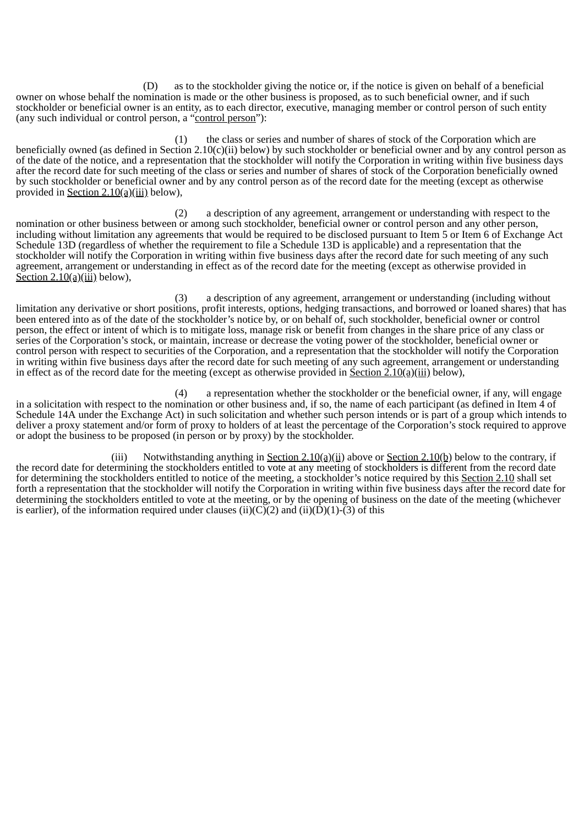(D) as to the stockholder giving the notice or, if the notice is given on behalf of a beneficial owner on whose behalf the nomination is made or the other business is proposed, as to such beneficial owner, and if such stockholder or beneficial owner is an entity, as to each director, executive, managing member or control person of such entity (any such individual or control person, a "control person"):

(1) the class or series and number of shares of stock of the Corporation which are beneficially owned (as defined in Section 2.10(c)(ii) below) by such stockholder or beneficial owner and by any control person as of the date of the notice, and a representation that the stockholder will notify the Corporation in writing within five business days after the record date for such meeting of the class or series and number of shares of stock of the Corporation beneficially owned by such stockholder or beneficial owner and by any control person as of the record date for the meeting (except as otherwise provided in Section 2.10(a)(iii) below),

(2) a description of any agreement, arrangement or understanding with respect to the nomination or other business between or among such stockholder, beneficial owner or control person and any other person, including without limitation any agreements that would be required to be disclosed pursuant to Item 5 or Item 6 of Exchange Act Schedule 13D (regardless of whether the requirement to file a Schedule 13D is applicable) and a representation that the stockholder will notify the Corporation in writing within five business days after the record date for such meeting of any such agreement, arrangement or understanding in effect as of the record date for the meeting (except as otherwise provided in Section  $2.10(a)(iii)$  below),

(3) a description of any agreement, arrangement or understanding (including without limitation any derivative or short positions, profit interests, options, hedging transactions, and borrowed or loaned shares) that has been entered into as of the date of the stockholder's notice by, or on behalf of, such stockholder, beneficial owner or control person, the effect or intent of which is to mitigate loss, manage risk or benefit from changes in the share price of any class or series of the Corporation's stock, or maintain, increase or decrease the voting power of the stockholder, beneficial owner or control person with respect to securities of the Corporation, and a representation that the stockholder will notify the Corporation in writing within five business days after the record date for such meeting of any such agreement, arrangement or understanding in effect as of the record date for the meeting (except as otherwise provided in Section 2.10(a)(iii) below),

(4) a representation whether the stockholder or the beneficial owner, if any, will engage in a solicitation with respect to the nomination or other business and, if so, the name of each participant (as defined in Item 4 of Schedule 14A under the Exchange Act) in such solicitation and whether such person intends or is part of a group which intends to deliver a proxy statement and/or form of proxy to holders of at least the percentage of the Corporation's stock required to approve or adopt the business to be proposed (in person or by proxy) by the stockholder.

(iii) Notwithstanding anything in Section  $2.10(a)(ii)$  above or Section  $2.10(b)$  below to the contrary, if the record date for determining the stockholders entitled to vote at any meeting of stockholders is different from the record date for determining the stockholders entitled to notice of the meeting, a stockholder's notice required by this Section 2.10 shall set forth a representation that the stockholder will notify the Corporation in writing within five business days after the record date for determining the stockholders entitled to vote at the meeting, or by the opening of business on the date of the meeting (whichever is earlier), of the information required under clauses (ii)(C)(2) and (ii)(D)(1)-(3) of this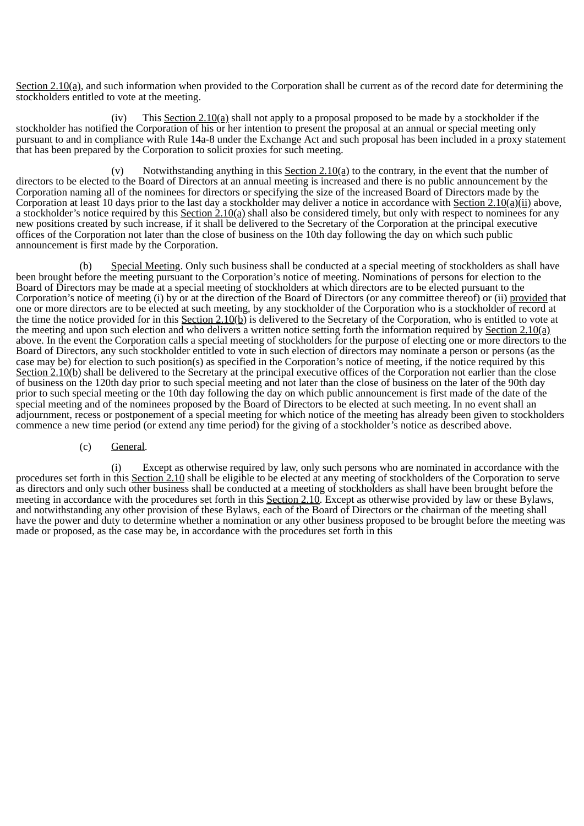Section 2.10(a), and such information when provided to the Corporation shall be current as of the record date for determining the stockholders entitled to vote at the meeting.

(iv) This Section 2.10(a) shall not apply to a proposal proposed to be made by a stockholder if the stockholder has notified the Corporation of his or her intention to present the proposal at an annual or special meeting only pursuant to and in compliance with Rule 14a-8 under the Exchange Act and such proposal has been included in a proxy statement that has been prepared by the Corporation to solicit proxies for such meeting.

(v) Notwithstanding anything in this Section  $2.10(a)$  to the contrary, in the event that the number of directors to be elected to the Board of Directors at an annual meeting is increased and there is no public announcement by the Corporation naming all of the nominees for directors or specifying the size of the increased Board of Directors made by the Corporation at least 10 days prior to the last day a stockholder may deliver a notice in accordance with Section 2.10(a)(ii) above, a stockholder's notice required by this Section  $2.10(a)$  shall also be considered timely, but only with respect to nominees for any new positions created by such increase, if it shall be delivered to the Secretary of the Corporation at the principal executive offices of the Corporation not later than the close of business on the 10th day following the day on which such public announcement is first made by the Corporation.

(b) Special Meeting. Only such business shall be conducted at a special meeting of stockholders as shall have been brought before the meeting pursuant to the Corporation's notice of meeting. Nominations of persons for election to the Board of Directors may be made at a special meeting of stockholders at which directors are to be elected pursuant to the Corporation's notice of meeting (i) by or at the direction of the Board of Directors (or any committee thereof) or (ii) provided that one or more directors are to be elected at such meeting, by any stockholder of the Corporation who is a stockholder of record at the time the notice provided for in this Section 2.10(b) is delivered to the Secretary of the Corporation, who is entitled to vote at the meeting and upon such election and who delivers a written notice setting forth the information required by Section 2.10(a) above. In the event the Corporation calls a special meeting of stockholders for the purpose of electing one or more directors to the Board of Directors, any such stockholder entitled to vote in such election of directors may nominate a person or persons (as the case may be) for election to such position(s) as specified in the Corporation's notice of meeting, if the notice required by this Section  $2.10(b)$  shall be delivered to the Secretary at the principal executive offices of the Corporation not earlier than the close of business on the 120th day prior to such special meeting and not later than the close of business on the later of the 90th day prior to such special meeting or the 10th day following the day on which public announcement is first made of the date of the special meeting and of the nominees proposed by the Board of Directors to be elected at such meeting. In no event shall an adjournment, recess or postponement of a special meeting for which notice of the meeting has already been given to stockholders commence a new time period (or extend any time period) for the giving of a stockholder's notice as described above.

# (c) General.

(i) Except as otherwise required by law, only such persons who are nominated in accordance with the procedures set forth in this Section 2.10 shall be eligible to be elected at any meeting of stockholders of the Corporation to serve as directors and only such other business shall be conducted at a meeting of stockholders as shall have been brought before the meeting in accordance with the procedures set forth in this Section 2.10. Except as otherwise provided by law or these Bylaws, and notwithstanding any other provision of these Bylaws, each of the Board of Directors or the chairman of the meeting shall have the power and duty to determine whether a nomination or any other business proposed to be brought before the meeting was made or proposed, as the case may be, in accordance with the procedures set forth in this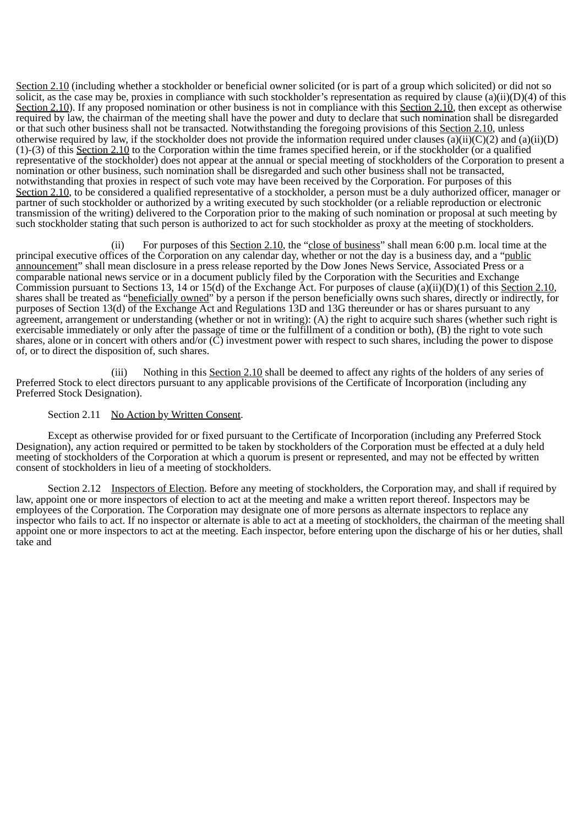Section 2.10 (including whether a stockholder or beneficial owner solicited (or is part of a group which solicited) or did not so solicit, as the case may be, proxies in compliance with such stockholder's representation as required by clause (a)(ii)(D)(4) of this Section 2.10). If any proposed nomination or other business is not in compliance with this Section 2.10, then except as otherwise required by law, the chairman of the meeting shall have the power and duty to declare that such nomination shall be disregarded or that such other business shall not be transacted. Notwithstanding the foregoing provisions of this Section 2.10, unless otherwise required by law, if the stockholder does not provide the information required under clauses  $(a)(ii)(C)(2)$  and  $(a)(ii)(D)$ (1)-(3) of this Section 2.10 to the Corporation within the time frames specified herein, or if the stockholder (or a qualified representative of the stockholder) does not appear at the annual or special meeting of stockholders of the Corporation to present a nomination or other business, such nomination shall be disregarded and such other business shall not be transacted, notwithstanding that proxies in respect of such vote may have been received by the Corporation. For purposes of this Section 2.10, to be considered a qualified representative of a stockholder, a person must be a duly authorized officer, manager or partner of such stockholder or authorized by a writing executed by such stockholder (or a reliable reproduction or electronic transmission of the writing) delivered to the Corporation prior to the making of such nomination or proposal at such meeting by such stockholder stating that such person is authorized to act for such stockholder as proxy at the meeting of stockholders.

(ii) For purposes of this Section 2.10, the "close of business" shall mean 6:00 p.m. local time at the principal executive offices of the Corporation on any calendar day, whether or not the day is a business day, and a "public announcement" shall mean disclosure in a press release reported by the Dow Jones News Service, Associated Press or a comparable national news service or in a document publicly filed by the Corporation with the Securities and Exchange Commission pursuant to Sections 13, 14 or 15(d) of the Exchange Act. For purposes of clause (a)(ii)(D)(1) of this Section 2.10, shares shall be treated as "beneficially owned" by a person if the person beneficially owns such shares, directly or indirectly, for purposes of Section 13(d) of the Exchange Act and Regulations 13D and 13G thereunder or has or shares pursuant to any agreement, arrangement or understanding (whether or not in writing): (A) the right to acquire such shares (whether such right is exercisable immediately or only after the passage of time or the fulfillment of a condition or both), (B) the right to vote such shares, alone or in concert with others and/or (C) investment power with respect to such shares, including the power to dispose of, or to direct the disposition of, such shares.

(iii) Nothing in this Section 2.10 shall be deemed to affect any rights of the holders of any series of Preferred Stock to elect directors pursuant to any applicable provisions of the Certificate of Incorporation (including any Preferred Stock Designation).

# Section 2.11 No Action by Written Consent.

Except as otherwise provided for or fixed pursuant to the Certificate of Incorporation (including any Preferred Stock Designation), any action required or permitted to be taken by stockholders of the Corporation must be effected at a duly held meeting of stockholders of the Corporation at which a quorum is present or represented, and may not be effected by written consent of stockholders in lieu of a meeting of stockholders.

Section 2.12 Inspectors of Election. Before any meeting of stockholders, the Corporation may, and shall if required by law, appoint one or more inspectors of election to act at the meeting and make a written report thereof. Inspectors may be employees of the Corporation. The Corporation may designate one of more persons as alternate inspectors to replace any inspector who fails to act. If no inspector or alternate is able to act at a meeting of stockholders, the chairman of the meeting shall appoint one or more inspectors to act at the meeting. Each inspector, before entering upon the discharge of his or her duties, shall take and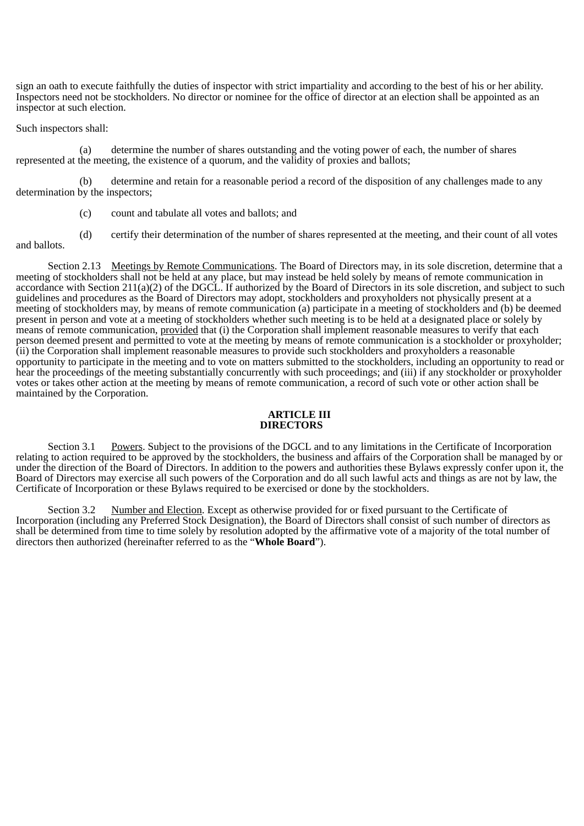sign an oath to execute faithfully the duties of inspector with strict impartiality and according to the best of his or her ability. Inspectors need not be stockholders. No director or nominee for the office of director at an election shall be appointed as an inspector at such election.

Such inspectors shall:

(a) determine the number of shares outstanding and the voting power of each, the number of shares represented at the meeting, the existence of a quorum, and the validity of proxies and ballots;

(b) determine and retain for a reasonable period a record of the disposition of any challenges made to any determination by the inspectors;

- (c) count and tabulate all votes and ballots; and
- (d) certify their determination of the number of shares represented at the meeting, and their count of all votes
- and ballots.

Section 2.13 Meetings by Remote Communications. The Board of Directors may, in its sole discretion, determine that a meeting of stockholders shall not be held at any place, but may instead be held solely by means of remote communication in accordance with Section 211(a)(2) of the DGCL. If authorized by the Board of Directors in its sole discretion, and subject to such guidelines and procedures as the Board of Directors may adopt, stockholders and proxyholders not physically present at a meeting of stockholders may, by means of remote communication (a) participate in a meeting of stockholders and (b) be deemed present in person and vote at a meeting of stockholders whether such meeting is to be held at a designated place or solely by means of remote communication, provided that (i) the Corporation shall implement reasonable measures to verify that each person deemed present and permitted to vote at the meeting by means of remote communication is a stockholder or proxyholder; (ii) the Corporation shall implement reasonable measures to provide such stockholders and proxyholders a reasonable opportunity to participate in the meeting and to vote on matters submitted to the stockholders, including an opportunity to read or hear the proceedings of the meeting substantially concurrently with such proceedings; and (iii) if any stockholder or proxyholder votes or takes other action at the meeting by means of remote communication, a record of such vote or other action shall be maintained by the Corporation.

# **ARTICLE III DIRECTORS**

Section 3.1 Powers. Subject to the provisions of the DGCL and to any limitations in the Certificate of Incorporation relating to action required to be approved by the stockholders, the business and affairs of the Corporation shall be managed by or under the direction of the Board of Directors. In addition to the powers and authorities these Bylaws expressly confer upon it, the Board of Directors may exercise all such powers of the Corporation and do all such lawful acts and things as are not by law, the Certificate of Incorporation or these Bylaws required to be exercised or done by the stockholders.

Section 3.2 Number and Election. Except as otherwise provided for or fixed pursuant to the Certificate of Incorporation (including any Preferred Stock Designation), the Board of Directors shall consist of such number of directors as shall be determined from time to time solely by resolution adopted by the affirmative vote of a majority of the total number of directors then authorized (hereinafter referred to as the "**Whole Board**").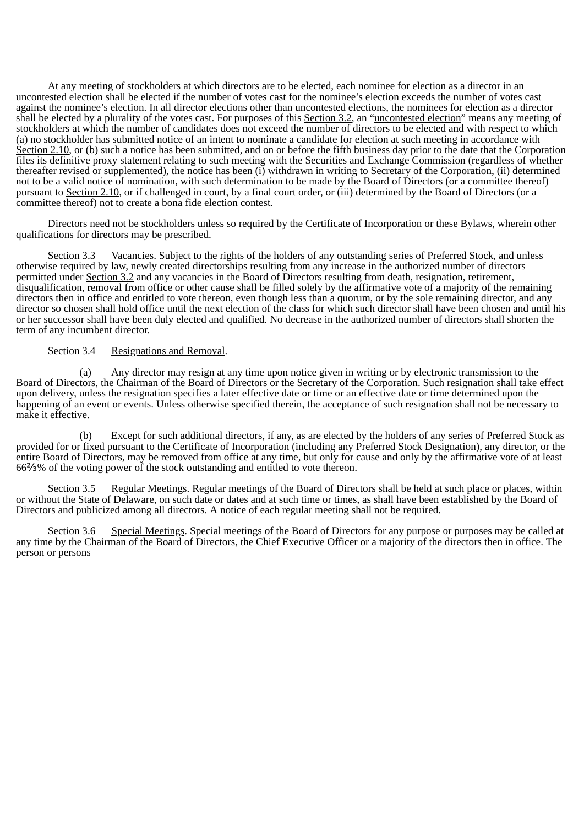At any meeting of stockholders at which directors are to be elected, each nominee for election as a director in an uncontested election shall be elected if the number of votes cast for the nominee's election exceeds the number of votes cast against the nominee's election. In all director elections other than uncontested elections, the nominees for election as a director shall be elected by a plurality of the votes cast. For purposes of this Section 3.2, an "uncontested election" means any meeting of stockholders at which the number of candidates does not exceed the number of directors to be elected and with respect to which (a) no stockholder has submitted notice of an intent to nominate a candidate for election at such meeting in accordance with  $\overline{\text{Section 2.10}}$ , or (b) such a notice has been submitted, and on or before the fifth business day prior to the date that the Corporation files its definitive proxy statement relating to such meeting with the Securities and Exchange Commission (regardless of whether thereafter revised or supplemented), the notice has been (i) withdrawn in writing to Secretary of the Corporation, (ii) determined not to be a valid notice of nomination, with such determination to be made by the Board of Directors (or a committee thereof) pursuant to Section 2.10, or if challenged in court, by a final court order, or (iii) determined by the Board of Directors (or a committee thereof) not to create a bona fide election contest.

Directors need not be stockholders unless so required by the Certificate of Incorporation or these Bylaws, wherein other qualifications for directors may be prescribed.

Section 3.3 Vacancies. Subject to the rights of the holders of any outstanding series of Preferred Stock, and unless otherwise required by law, newly created directorships resulting from any increase in the authorized number of directors permitted under Section  $3.2$  and any vacancies in the Board of Directors resulting from death, resignation, retirement, disqualification, removal from office or other cause shall be filled solely by the affirmative vote of a majority of the remaining directors then in office and entitled to vote thereon, even though less than a quorum, or by the sole remaining director, and any director so chosen shall hold office until the next election of the class for which such director shall have been chosen and until his or her successor shall have been duly elected and qualified. No decrease in the authorized number of directors shall shorten the term of any incumbent director.

# Section 3.4 Resignations and Removal.

(a) Any director may resign at any time upon notice given in writing or by electronic transmission to the Board of Directors, the Chairman of the Board of Directors or the Secretary of the Corporation. Such resignation shall take effect upon delivery, unless the resignation specifies a later effective date or time or an effective date or time determined upon the happening of an event or events. Unless otherwise specified therein, the acceptance of such resignation shall not be necessary to make it effective.

(b) Except for such additional directors, if any, as are elected by the holders of any series of Preferred Stock as provided for or fixed pursuant to the Certificate of Incorporation (including any Preferred Stock Designation), any director, or the entire Board of Directors, may be removed from office at any time, but only for cause and only by the affirmative vote of at least 66⅔% of the voting power of the stock outstanding and entitled to vote thereon.

Section 3.5 Regular Meetings. Regular meetings of the Board of Directors shall be held at such place or places, within or without the State of Delaware, on such date or dates and at such time or times, as shall have been established by the Board of Directors and publicized among all directors. A notice of each regular meeting shall not be required.

Section 3.6 Special Meetings. Special meetings of the Board of Directors for any purpose or purposes may be called at any time by the Chairman of the Board of Directors, the Chief Executive Officer or a majority of the directors then in office. The person or persons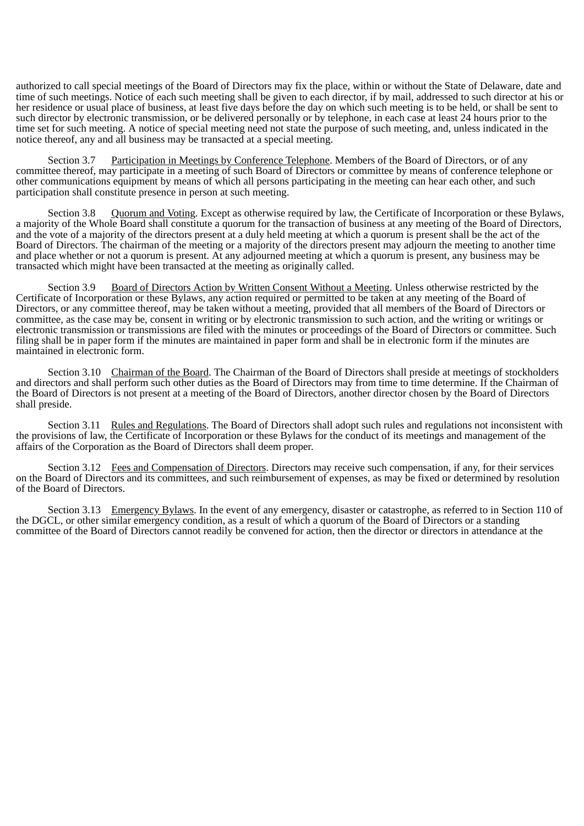authorized to call special meetings of the Board of Directors may fix the place, within or without the State of Delaware, date and time of such meetings. Notice of each such meeting shall be given to each director, if by mail, addressed to such director at his or her residence or usual place of business, at least five days before the day on which such meeting is to be held, or shall be sent to such director by electronic transmission, or be delivered personally or by telephone, in each case at least 24 hours prior to the time set for such meeting. A notice of special meeting need not state the purpose of such meeting, and, unless indicated in the notice thereof, any and all business may be transacted at a special meeting.

Section 3.7 Participation in Meetings by Conference Telephone. Members of the Board of Directors, or of any committee thereof, may participate in a meeting of such Board of Directors or committee by means of conference telephone or other communications equipment by means of which all persons participating in the meeting can hear each other, and such participation shall constitute presence in person at such meeting.

Section 3.8 Quorum and Voting. Except as otherwise required by law, the Certificate of Incorporation or these Bylaws, a majority of the Whole Board shall constitute a quorum for the transaction of business at any meeting of the Board of Directors, and the vote of a majority of the directors present at a duly held meeting at which a quorum is present shall be the act of the Board of Directors. The chairman of the meeting or a majority of the directors present may adjourn the meeting to another time and place whether or not a quorum is present. At any adjourned meeting at which a quorum is present, any business may be transacted which might have been transacted at the meeting as originally called.

Section 3.9 Board of Directors Action by Written Consent Without a Meeting. Unless otherwise restricted by the Certificate of Incorporation or these Bylaws, any action required or permitted to be taken at any meeting of the Board of Directors, or any committee thereof, may be taken without a meeting, provided that all members of the Board of Directors or committee, as the case may be, consent in writing or by electronic transmission to such action, and the writing or writings or electronic transmission or transmissions are filed with the minutes or proceedings of the Board of Directors or committee. Such filing shall be in paper form if the minutes are maintained in paper form and shall be in electronic form if the minutes are maintained in electronic form.

Section 3.10 Chairman of the Board. The Chairman of the Board of Directors shall preside at meetings of stockholders and directors and shall perform such other duties as the Board of Directors may from time to time determine. If the Chairman of the Board of Directors is not present at a meeting of the Board of Directors, another director chosen by the Board of Directors shall preside.

Section 3.11 Rules and Regulations. The Board of Directors shall adopt such rules and regulations not inconsistent with the provisions of law, the Certificate of Incorporation or these Bylaws for the conduct of its meetings and management of the affairs of the Corporation as the Board of Directors shall deem proper.

Section 3.12 Fees and Compensation of Directors. Directors may receive such compensation, if any, for their services on the Board of Directors and its committees, and such reimbursement of expenses, as may be fixed or determined by resolution of the Board of Directors.

Section 3.13 Emergency Bylaws. In the event of any emergency, disaster or catastrophe, as referred to in Section 110 of the DGCL, or other similar emergency condition, as a result of which a quorum of the Board of Directors or a standing committee of the Board of Directors cannot readily be convened for action, then the director or directors in attendance at the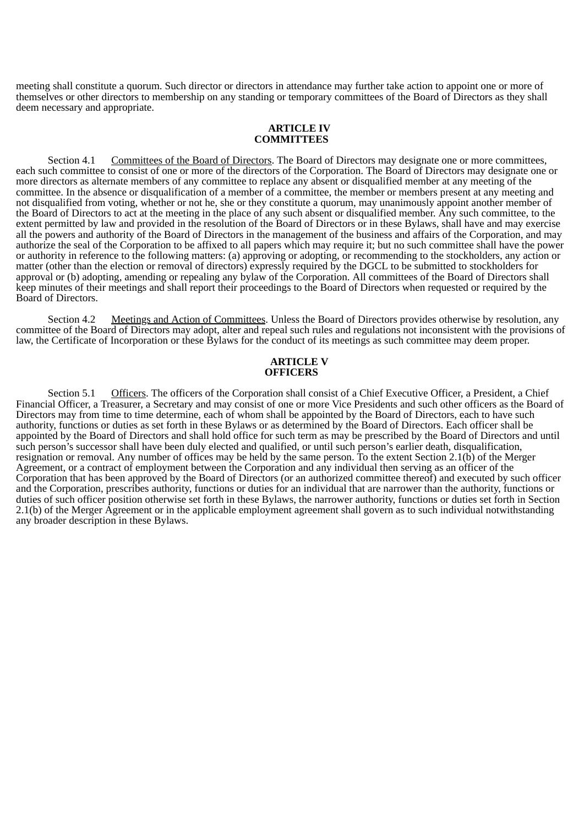meeting shall constitute a quorum. Such director or directors in attendance may further take action to appoint one or more of themselves or other directors to membership on any standing or temporary committees of the Board of Directors as they shall deem necessary and appropriate.

### **ARTICLE IV COMMITTEES**

Section 4.1 Committees of the Board of Directors. The Board of Directors may designate one or more committees, each such committee to consist of one or more of the directors of the Corporation. The Board of Directors may designate one or more directors as alternate members of any committee to replace any absent or disqualified member at any meeting of the committee. In the absence or disqualification of a member of a committee, the member or members present at any meeting and not disqualified from voting, whether or not he, she or they constitute a quorum, may unanimously appoint another member of the Board of Directors to act at the meeting in the place of any such absent or disqualified member. Any such committee, to the extent permitted by law and provided in the resolution of the Board of Directors or in these Bylaws, shall have and may exercise all the powers and authority of the Board of Directors in the management of the business and affairs of the Corporation, and may authorize the seal of the Corporation to be affixed to all papers which may require it; but no such committee shall have the power or authority in reference to the following matters: (a) approving or adopting, or recommending to the stockholders, any action or matter (other than the election or removal of directors) expressly required by the DGCL to be submitted to stockholders for approval or (b) adopting, amending or repealing any bylaw of the Corporation. All committees of the Board of Directors shall keep minutes of their meetings and shall report their proceedings to the Board of Directors when requested or required by the Board of Directors.

Section 4.2 Meetings and Action of Committees. Unless the Board of Directors provides otherwise by resolution. any committee of the Board of Directors may adopt, alter and repeal such rules and regulations not inconsistent with the provisions of law, the Certificate of Incorporation or these Bylaws for the conduct of its meetings as such committee may deem proper.

# **ARTICLE V OFFICERS**

Section 5.1 Officers. The officers of the Corporation shall consist of a Chief Executive Officer, a President, a Chief Financial Officer, a Treasurer, a Secretary and may consist of one or more Vice Presidents and such other officers as the Board of Directors may from time to time determine, each of whom shall be appointed by the Board of Directors, each to have such authority, functions or duties as set forth in these Bylaws or as determined by the Board of Directors. Each officer shall be appointed by the Board of Directors and shall hold office for such term as may be prescribed by the Board of Directors and until such person's successor shall have been duly elected and qualified, or until such person's earlier death, disqualification, resignation or removal. Any number of offices may be held by the same person. To the extent Section 2.1(b) of the Merger Agreement, or a contract of employment between the Corporation and any individual then serving as an officer of the Corporation that has been approved by the Board of Directors (or an authorized committee thereof) and executed by such officer and the Corporation, prescribes authority, functions or duties for an individual that are narrower than the authority, functions or duties of such officer position otherwise set forth in these Bylaws, the narrower authority, functions or duties set forth in Section  $2.1(b)$  of the Merger Agreement or in the applicable employment agreement shall govern as to such individual notwithstanding any broader description in these Bylaws.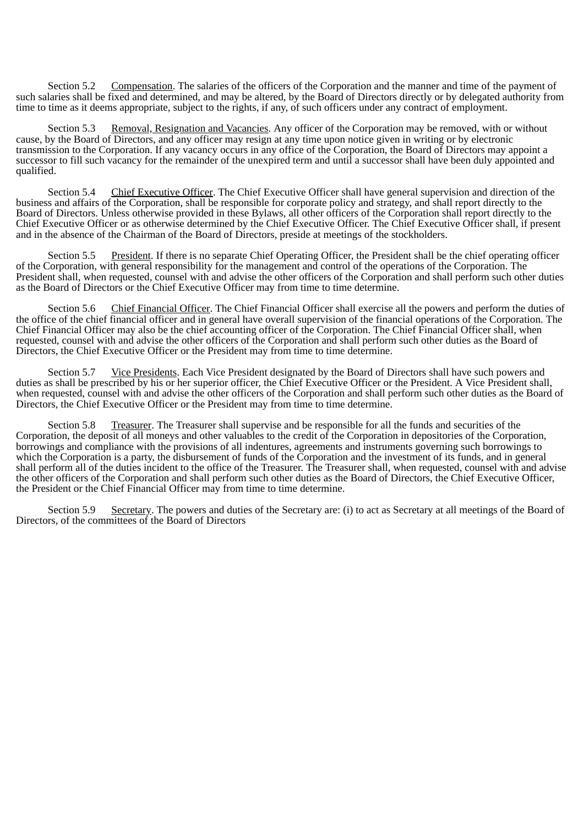Section 5.2 Compensation. The salaries of the officers of the Corporation and the manner and time of the payment of such salaries shall be fixed and determined, and may be altered, by the Board of Directors directly or by delegated authority from time to time as it deems appropriate, subject to the rights, if any, of such officers under any contract of employment.

Section 5.3 Removal, Resignation and Vacancies. Any officer of the Corporation may be removed, with or without cause, by the Board of Directors, and any officer may resign at any time upon notice given in writing or by electronic transmission to the Corporation. If any vacancy occurs in any office of the Corporation, the Board of Directors may appoint a successor to fill such vacancy for the remainder of the unexpired term and until a successor shall have been duly appointed and qualified.

Section 5.4 Chief Executive Officer. The Chief Executive Officer shall have general supervision and direction of the business and affairs of the Corporation, shall be responsible for corporate policy and strategy, and shall report directly to the Board of Directors. Unless otherwise provided in these Bylaws, all other officers of the Corporation shall report directly to the Chief Executive Officer or as otherwise determined by the Chief Executive Officer. The Chief Executive Officer shall, if present and in the absence of the Chairman of the Board of Directors, preside at meetings of the stockholders.

Section 5.5 President. If there is no separate Chief Operating Officer, the President shall be the chief operating officer of the Corporation, with general responsibility for the management and control of the operations of the Corporation. The President shall, when requested, counsel with and advise the other officers of the Corporation and shall perform such other duties as the Board of Directors or the Chief Executive Officer may from time to time determine.

Section 5.6 Chief Financial Officer. The Chief Financial Officer shall exercise all the powers and perform the duties of the office of the chief financial officer and in general have overall supervision of the financial operations of the Corporation. The Chief Financial Officer may also be the chief accounting officer of the Corporation. The Chief Financial Officer shall, when requested, counsel with and advise the other officers of the Corporation and shall perform such other duties as the Board of Directors, the Chief Executive Officer or the President may from time to time determine.

Section 5.7 Vice Presidents. Each Vice President designated by the Board of Directors shall have such powers and duties as shall be prescribed by his or her superior officer, the Chief Executive Officer or the President. A Vice President shall, when requested, counsel with and advise the other officers of the Corporation and shall perform such other duties as the Board of Directors, the Chief Executive Officer or the President may from time to time determine.

Section 5.8 Treasurer. The Treasurer shall supervise and be responsible for all the funds and securities of the Corporation, the deposit of all moneys and other valuables to the credit of the Corporation in depositories of the Corporation, borrowings and compliance with the provisions of all indentures, agreements and instruments governing such borrowings to which the Corporation is a party, the disbursement of funds of the Corporation and the investment of its funds, and in general shall perform all of the duties incident to the office of the Treasurer. The Treasurer shall, when requested, counsel with and advise the other officers of the Corporation and shall perform such other duties as the Board of Directors, the Chief Executive Officer, the President or the Chief Financial Officer may from time to time determine.

Section 5.9 Secretary. The powers and duties of the Secretary are: (i) to act as Secretary at all meetings of the Board of Directors, of the committees of the Board of Directors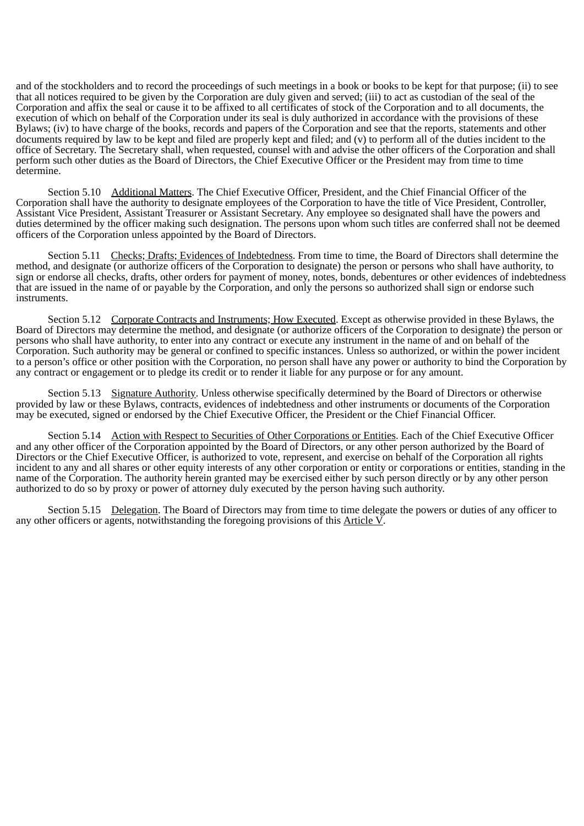and of the stockholders and to record the proceedings of such meetings in a book or books to be kept for that purpose; (ii) to see that all notices required to be given by the Corporation are duly given and served; (iii) to act as custodian of the seal of the Corporation and affix the seal or cause it to be affixed to all certificates of stock of the Corporation and to all documents, the execution of which on behalf of the Corporation under its seal is duly authorized in accordance with the provisions of these Bylaws; (iv) to have charge of the books, records and papers of the Corporation and see that the reports, statements and other documents required by law to be kept and filed are properly kept and filed; and (v) to perform all of the duties incident to the office of Secretary. The Secretary shall, when requested, counsel with and advise the other officers of the Corporation and shall perform such other duties as the Board of Directors, the Chief Executive Officer or the President may from time to time determine.

Section 5.10 Additional Matters. The Chief Executive Officer, President, and the Chief Financial Officer of the Corporation shall have the authority to designate employees of the Corporation to have the title of Vice President, Controller, Assistant Vice President, Assistant Treasurer or Assistant Secretary. Any employee so designated shall have the powers and duties determined by the officer making such designation. The persons upon whom such titles are conferred shall not be deemed officers of the Corporation unless appointed by the Board of Directors.

Section 5.11 Checks; Drafts; Evidences of Indebtedness. From time to time, the Board of Directors shall determine the method, and designate (or authorize officers of the Corporation to designate) the person or persons who shall have authority, to sign or endorse all checks, drafts, other orders for payment of money, notes, bonds, debentures or other evidences of indebtedness that are issued in the name of or payable by the Corporation, and only the persons so authorized shall sign or endorse such instruments.

Section 5.12 Corporate Contracts and Instruments; How Executed. Except as otherwise provided in these Bylaws, the Board of Directors may determine the method, and designate (or authorize officers of the Corporation to designate) the person or persons who shall have authority, to enter into any contract or execute any instrument in the name of and on behalf of the Corporation. Such authority may be general or confined to specific instances. Unless so authorized, or within the power incident to a person's office or other position with the Corporation, no person shall have any power or authority to bind the Corporation by any contract or engagement or to pledge its credit or to render it liable for any purpose or for any amount.

Section 5.13 Signature Authority. Unless otherwise specifically determined by the Board of Directors or otherwise provided by law or these Bylaws, contracts, evidences of indebtedness and other instruments or documents of the Corporation may be executed, signed or endorsed by the Chief Executive Officer, the President or the Chief Financial Officer.

Section 5.14 Action with Respect to Securities of Other Corporations or Entities. Each of the Chief Executive Officer and any other officer of the Corporation appointed by the Board of Directors, or any other person authorized by the Board of Directors or the Chief Executive Officer, is authorized to vote, represent, and exercise on behalf of the Corporation all rights incident to any and all shares or other equity interests of any other corporation or entity or corporations or entities, standing in the name of the Corporation. The authority herein granted may be exercised either by such person directly or by any other person authorized to do so by proxy or power of attorney duly executed by the person having such authority.

Section 5.15 Delegation. The Board of Directors may from time to time delegate the powers or duties of any officer to any other officers or agents, notwithstanding the foregoing provisions of this Article V.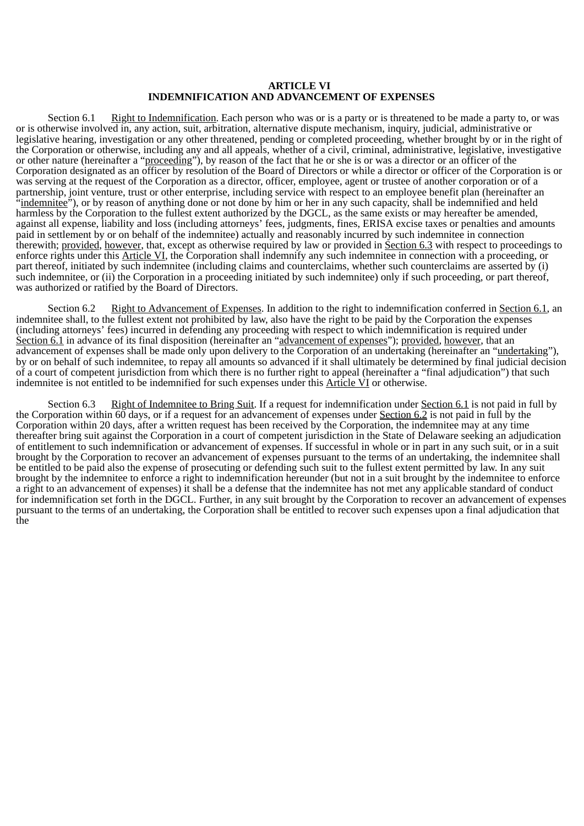# **ARTICLE VI INDEMNIFICATION AND ADVANCEMENT OF EXPENSES**

Section 6.1 Right to Indemnification. Each person who was or is a party or is threatened to be made a party to, or was or is otherwise involved in, any action, suit, arbitration, alternative dispute mechanism, inquiry, judicial, administrative or legislative hearing, investigation or any other threatened, pending or completed proceeding, whether brought by or in the right of the Corporation or otherwise, including any and all appeals, whether of a civil, criminal, administrative, legislative, investigative or other nature (hereinafter a "<u>proceeding</u>"), by reason of the fact that he or she is or was a director or an officer of the Corporation designated as an officer by resolution of the Board of Directors or while a director or officer of the Corporation is or was serving at the request of the Corporation as a director, officer, employee, agent or trustee of another corporation or of a partnership, joint venture, trust or other enterprise, including service with respect to an employee benefit plan (hereinafter an "indemnitee"), or by reason of anything done or not done by him or her in any such capacity,  $\ddot{m}$ ), or by reason of anything done or not done by him or her in any such capacity, shall be indemnified and held harmless by the Corporation to the fullest extent authorized by the DGCL, as the same exists or may hereafter be amended, against all expense, liability and loss (including attorneys' fees, judgments, fines, ERISA excise taxes or penalties and amounts paid in settlement by or on behalf of the indemnitee) actually and reasonably incurred by such indemnitee in connection therewith; provided, however, that, except as otherwise required by law or provided in Section 6.3 with respect to proceedings to enforce rights under this Article VI, the Corporation shall indemnify any such indemnitee in connection with a proceeding, or part thereof, initiated by such indemnitee (including claims and counterclaims, whether such counterclaims are asserted by (i) such indemnitee, or (ii) the Corporation in a proceeding initiated by such indemnitee) only if such proceeding, or part thereof, was authorized or ratified by the Board of Directors.

Section 6.2 Right to Advancement of Expenses. In addition to the right to indemnification conferred in Section 6.1, an indemnitee shall, to the fullest extent not prohibited by law, also have the right to be paid by the Corporation the expenses (including attorneys' fees) incurred in defending any proceeding with respect to which indemnification is required under Section 6.1 in advance of its final disposition (hereinafter an "advancement of expenses"); provided, however, that an advancement of expenses shall be made only upon delivery to the Corporation of an undertaking (hereinafter an "undertaking"), by or on behalf of such indemnitee, to repay all amounts so advanced if it shall ultimately be determined by final judicial decision of a court of competent jurisdiction from which there is no further right to appeal (hereinafter a "final adjudication") that such indemnitee is not entitled to be indemnified for such expenses under this Article VI or otherwise.

Section 6.3 Right of Indemnitee to Bring Suit. If a request for indemnification under Section 6.1 is not paid in full by the Corporation within 60 days, or if a request for an advancement of expenses under Section 6.2 is not paid in full by the Corporation within 20 days, after a written request has been received by the Corporation, the indemnitee may at any time thereafter bring suit against the Corporation in a court of competent jurisdiction in the State of Delaware seeking an adjudication of entitlement to such indemnification or advancement of expenses. If successful in whole or in part in any such suit, or in a suit brought by the Corporation to recover an advancement of expenses pursuant to the terms of an undertaking, the indemnitee shall be entitled to be paid also the expense of prosecuting or defending such suit to the fullest extent permitted by law. In any suit brought by the indemnitee to enforce a right to indemnification hereunder (but not in a suit brought by the indemnitee to enforce a right to an advancement of expenses) it shall be a defense that the indemnitee has not met any applicable standard of conduct for indemnification set forth in the DGCL. Further, in any suit brought by the Corporation to recover an advancement of expenses pursuant to the terms of an undertaking, the Corporation shall be entitled to recover such expenses upon a final adjudication that the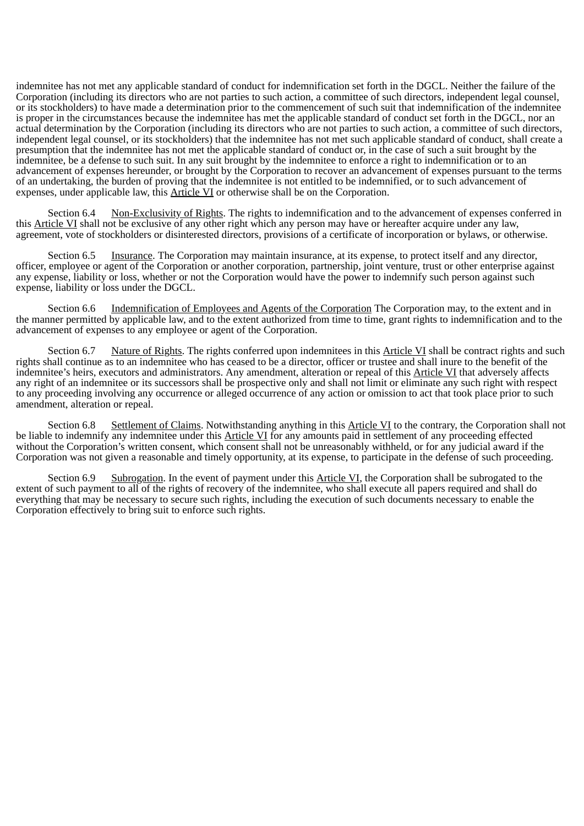indemnitee has not met any applicable standard of conduct for indemnification set forth in the DGCL. Neither the failure of the Corporation (including its directors who are not parties to such action, a committee of such directors, independent legal counsel, or its stockholders) to have made a determination prior to the commencement of such suit that indemnification of the indemnitee is proper in the circumstances because the indemnitee has met the applicable standard of conduct set forth in the DGCL, nor an actual determination by the Corporation (including its directors who are not parties to such action, a committee of such directors, independent legal counsel, or its stockholders) that the indemnitee has not met such applicable standard of conduct, shall create a presumption that the indemnitee has not met the applicable standard of conduct or, in the case of such a suit brought by the indemnitee, be a defense to such suit. In any suit brought by the indemnitee to enforce a right to indemnification or to an advancement of expenses hereunder, or brought by the Corporation to recover an advancement of expenses pursuant to the terms of an undertaking, the burden of proving that the indemnitee is not entitled to be indemnified, or to such advancement of expenses, under applicable law, this Article VI or otherwise shall be on the Corporation.

Section 6.4 Non-Exclusivity of Rights. The rights to indemnification and to the advancement of expenses conferred in this Article VI shall not be exclusive of any other right which any person may have or hereafter acquire under any law, agreement, vote of stockholders or disinterested directors, provisions of a certificate of incorporation or bylaws, or otherwise.

Section 6.5 Insurance. The Corporation may maintain insurance, at its expense, to protect itself and any director, officer, employee or agent of the Corporation or another corporation, partnership, joint venture, trust or other enterprise against any expense, liability or loss, whether or not the Corporation would have the power to indemnify such person against such expense, liability or loss under the DGCL.

Section 6.6 Indemnification of Employees and Agents of the Corporation The Corporation may, to the extent and in the manner permitted by applicable law, and to the extent authorized from time to time, grant rights to indemnification and to the advancement of expenses to any employee or agent of the Corporation.

Section 6.7 Nature of Rights. The rights conferred upon indemnitees in this Article VI shall be contract rights and such rights shall continue as to an indemnitee who has ceased to be a director, officer or trustee and shall inure to the benefit of the indemnitee's heirs, executors and administrators. Any amendment, alteration or repeal of this Article VI that adversely affects any right of an indemnitee or its successors shall be prospective only and shall not limit or eliminate any such right with respect to any proceeding involving any occurrence or alleged occurrence of any action or omission to act that took place prior to such amendment, alteration or repeal.

Section 6.8 Settlement of Claims. Notwithstanding anything in this Article VI to the contrary, the Corporation shall not be liable to indemnify any indemnitee under this Article VI for any amounts paid in settlement of any proceeding effected without the Corporation's written consent, which consent shall not be unreasonably withheld, or for any judicial award if the Corporation was not given a reasonable and timely opportunity, at its expense, to participate in the defense of such proceeding.

Section 6.9 Subrogation. In the event of payment under this Article VI, the Corporation shall be subrogated to the extent of such payment to all of the rights of recovery of the indemnitee, who shall execute all papers required and shall do everything that may be necessary to secure such rights, including the execution of such documents necessary to enable the Corporation effectively to bring suit to enforce such rights.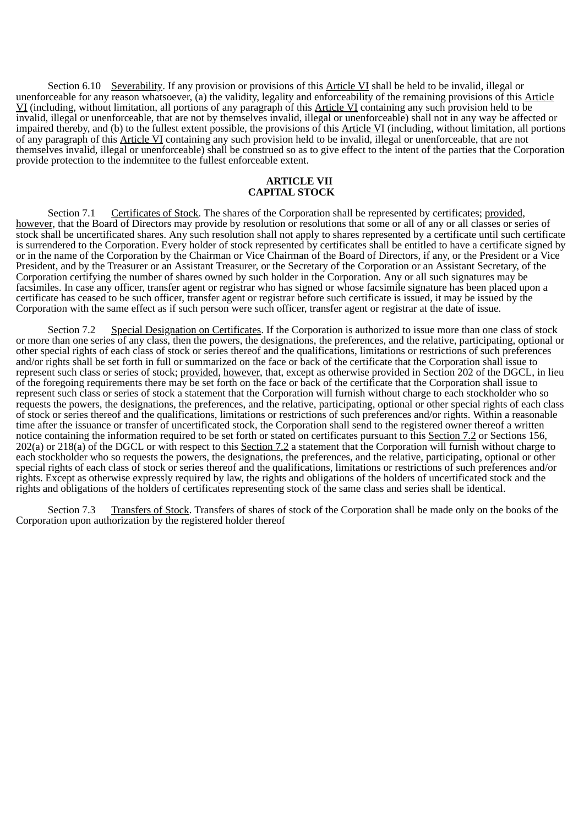Section 6.10 Severability. If any provision or provisions of this Article VI shall be held to be invalid, illegal or unenforceable for any reason whatsoever, (a) the validity, legality and enforceability of the remaining provisions of this Article VI (including, without limitation, all portions of any paragraph of this Article VI containing any such provision held to be invalid, illegal or unenforceable, that are not by themselves invalid, illegal or unenforceable) shall not in any way be affected or impaired thereby, and (b) to the fullest extent possible, the provisions of this Article VI (including, without limitation, all portions of any paragraph of this Article VI containing any such provision held to be invalid, illegal or unenforceable, that are not themselves invalid, illegal or unenforceable) shall be construed so as to give effect to the intent of the parties that the Corporation provide protection to the indemnitee to the fullest enforceable extent.

### **ARTICLE VII CAPITAL STOCK**

Section 7.1 Certificates of Stock. The shares of the Corporation shall be represented by certificates; provided, however, that the Board of Directors may provide by resolution or resolutions that some or all of any or all classes or series of stock shall be uncertificated shares. Any such resolution shall not apply to shares represented by a certificate until such certificate is surrendered to the Corporation. Every holder of stock represented by certificates shall be entitled to have a certificate signed by or in the name of the Corporation by the Chairman or Vice Chairman of the Board of Directors, if any, or the President or a Vice President, and by the Treasurer or an Assistant Treasurer, or the Secretary of the Corporation or an Assistant Secretary, of the Corporation certifying the number of shares owned by such holder in the Corporation. Any or all such signatures may be facsimiles. In case any officer, transfer agent or registrar who has signed or whose facsimile signature has been placed upon a certificate has ceased to be such officer, transfer agent or registrar before such certificate is issued, it may be issued by the Corporation with the same effect as if such person were such officer, transfer agent or registrar at the date of issue.

Section 7.2 Special Designation on Certificates. If the Corporation is authorized to issue more than one class of stock or more than one series of any class, then the powers, the designations, the preferences, and the relative, participating, optional or other special rights of each class of stock or series thereof and the qualifications, limitations or restrictions of such preferences and/or rights shall be set forth in full or summarized on the face or back of the certificate that the Corporation shall issue to represent such class or series of stock; provided, however, that, except as otherwise provided in Section 202 of the DGCL, in lieu of the foregoing requirements there may be set forth on the face or back of the certificate that the Corporation shall issue to represent such class or series of stock a statement that the Corporation will furnish without charge to each stockholder who so requests the powers, the designations, the preferences, and the relative, participating, optional or other special rights of each class of stock or series thereof and the qualifications, limitations or restrictions of such preferences and/or rights. Within a reasonable time after the issuance or transfer of uncertificated stock, the Corporation shall send to the registered owner thereof a written notice containing the information required to be set forth or stated on certificates pursuant to this Section 7.2 or Sections 156, 202(a) or 218(a) of the DGCL or with respect to this Section 7.2 a statement that the Corporation will furnish without charge to each stockholder who so requests the powers, the designations, the preferences, and the relative, participating, optional or other special rights of each class of stock or series thereof and the qualifications, limitations or restrictions of such preferences and/or rights. Except as otherwise expressly required by law, the rights and obligations of the holders of uncertificated stock and the rights and obligations of the holders of certificates representing stock of the same class and series shall be identical.

Section 7.3 Transfers of Stock. Transfers of shares of stock of the Corporation shall be made only on the books of the Corporation upon authorization by the registered holder thereof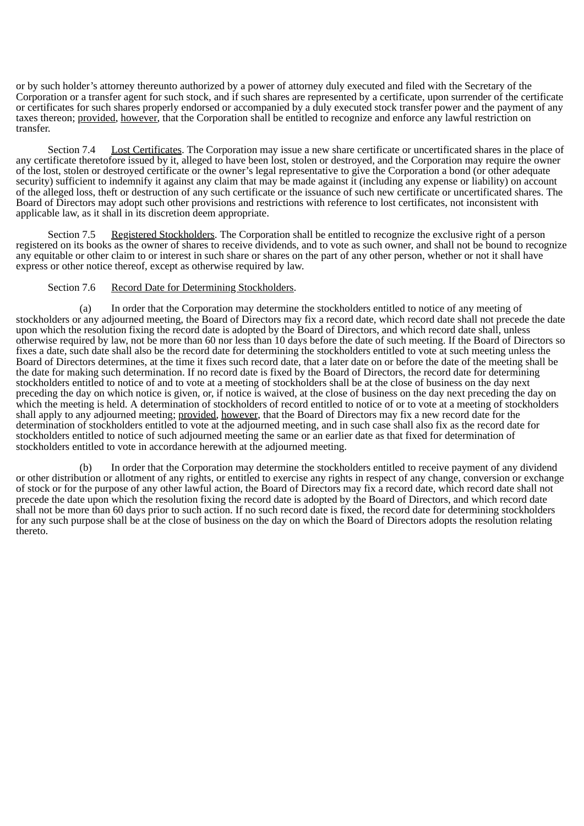or by such holder's attorney thereunto authorized by a power of attorney duly executed and filed with the Secretary of the Corporation or a transfer agent for such stock, and if such shares are represented by a certificate, upon surrender of the certificate or certificates for such shares properly endorsed or accompanied by a duly executed stock transfer power and the payment of any taxes thereon; provided, however, that the Corporation shall be entitled to recognize and enforce any lawful restriction on transfer.

Section 7.4 Lost Certificates. The Corporation may issue a new share certificate or uncertificated shares in the place of any certificate theretofore issued by it, alleged to have been lost, stolen or destroyed, and the Corporation may require the owner of the lost, stolen or destroyed certificate or the owner's legal representative to give the Corporation a bond (or other adequate security) sufficient to indemnify it against any claim that may be made against it (including any expense or liability) on account of the alleged loss, theft or destruction of any such certificate or the issuance of such new certificate or uncertificated shares. The Board of Directors may adopt such other provisions and restrictions with reference to lost certificates, not inconsistent with applicable law, as it shall in its discretion deem appropriate.

Section 7.5 Registered Stockholders. The Corporation shall be entitled to recognize the exclusive right of a person registered on its books as the owner of shares to receive dividends, and to vote as such owner, and shall not be bound to recognize any equitable or other claim to or interest in such share or shares on the part of any other person, whether or not it shall have express or other notice thereof, except as otherwise required by law.

# Section 7.6 Record Date for Determining Stockholders.

(a) In order that the Corporation may determine the stockholders entitled to notice of any meeting of stockholders or any adjourned meeting, the Board of Directors may fix a record date, which record date shall not precede the date upon which the resolution fixing the record date is adopted by the Board of Directors, and which record date shall, unless otherwise required by law, not be more than 60 nor less than 10 days before the date of such meeting. If the Board of Directors so fixes a date, such date shall also be the record date for determining the stockholders entitled to vote at such meeting unless the Board of Directors determines, at the time it fixes such record date, that a later date on or before the date of the meeting shall be the date for making such determination. If no record date is fixed by the Board of Directors, the record date for determining stockholders entitled to notice of and to vote at a meeting of stockholders shall be at the close of business on the day next preceding the day on which notice is given, or, if notice is waived, at the close of business on the day next preceding the day on which the meeting is held. A determination of stockholders of record entitled to notice of or to vote at a meeting of stockholders shall apply to any adjourned meeting; provided, however, that the Board of Directors may fix a new record date for the determination of stockholders entitled to vote at the adjourned meeting, and in such case shall also fix as the record date for stockholders entitled to notice of such adjourned meeting the same or an earlier date as that fixed for determination of stockholders entitled to vote in accordance herewith at the adjourned meeting.

(b) In order that the Corporation may determine the stockholders entitled to receive payment of any dividend or other distribution or allotment of any rights, or entitled to exercise any rights in respect of any change, conversion or exchange of stock or for the purpose of any other lawful action, the Board of Directors may fix a record date, which record date shall not precede the date upon which the resolution fixing the record date is adopted by the Board of Directors, and which record date shall not be more than 60 days prior to such action. If no such record date is fixed, the record date for determining stockholders for any such purpose shall be at the close of business on the day on which the Board of Directors adopts the resolution relating thereto.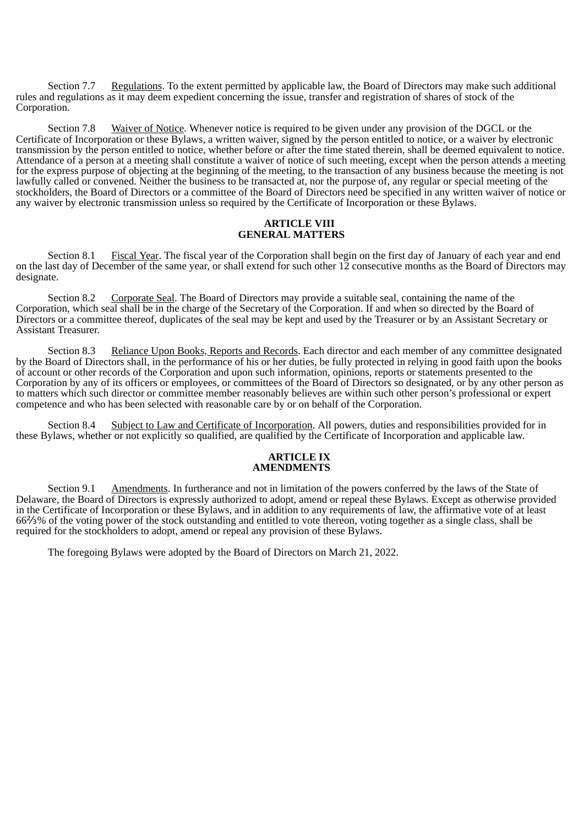Section 7.7 Regulations. To the extent permitted by applicable law, the Board of Directors may make such additional rules and regulations as it may deem expedient concerning the issue, transfer and registration of shares of stock of the Corporation.

Section 7.8 Waiver of Notice. Whenever notice is required to be given under any provision of the DGCL or the Certificate of Incorporation or these Bylaws, a written waiver, signed by the person entitled to notice, or a waiver by electronic transmission by the person entitled to notice, whether before or after the time stated therein, shall be deemed equivalent to notice. Attendance of a person at a meeting shall constitute a waiver of notice of such meeting, except when the person attends a meeting for the express purpose of objecting at the beginning of the meeting, to the transaction of any business because the meeting is not lawfully called or convened. Neither the business to be transacted at, nor the purpose of, any regular or special meeting of the stockholders, the Board of Directors or a committee of the Board of Directors need be specified in any written waiver of notice or any waiver by electronic transmission unless so required by the Certificate of Incorporation or these Bylaws.

### **ARTICLE VIII GENERAL MATTERS**

Section 8.1 Fiscal Year. The fiscal year of the Corporation shall begin on the first day of January of each year and end on the last day of December of the same year, or shall extend for such other 12 consecutive months as the Board of Directors may designate.

Section 8.2 Corporate Seal. The Board of Directors may provide a suitable seal, containing the name of the Corporation, which seal shall be in the charge of the Secretary of the Corporation. If and when so directed by the Board of Directors or a committee thereof, duplicates of the seal may be kept and used by the Treasurer or by an Assistant Secretary or Assistant Treasurer.

Section 8.3 Reliance Upon Books, Reports and Records. Each director and each member of any committee designated by the Board of Directors shall, in the performance of his or her duties, be fully protected in relying in good faith upon the books of account or other records of the Corporation and upon such information, opinions, reports or statements presented to the Corporation by any of its officers or employees, or committees of the Board of Directors so designated, or by any other person as to matters which such director or committee member reasonably believes are within such other person's professional or expert competence and who has been selected with reasonable care by or on behalf of the Corporation.

Section 8.4 Subject to Law and Certificate of Incorporation. All powers, duties and responsibilities provided for in these Bylaws, whether or not explicitly so qualified, are qualified by the Certificate of Incorporation and applicable law.

### **ARTICLE IX AMENDMENTS**

Section 9.1 Amendments. In furtherance and not in limitation of the powers conferred by the laws of the State of Delaware, the Board of Directors is expressly authorized to adopt, amend or repeal these Bylaws. Except as otherwise provided in the Certificate of Incorporation or these Bylaws, and in addition to any requirements of law, the affirmative vote of at least 66⅔% of the voting power of the stock outstanding and entitled to vote thereon, voting together as a single class, shall be required for the stockholders to adopt, amend or repeal any provision of these Bylaws.

The foregoing Bylaws were adopted by the Board of Directors on March 21, 2022.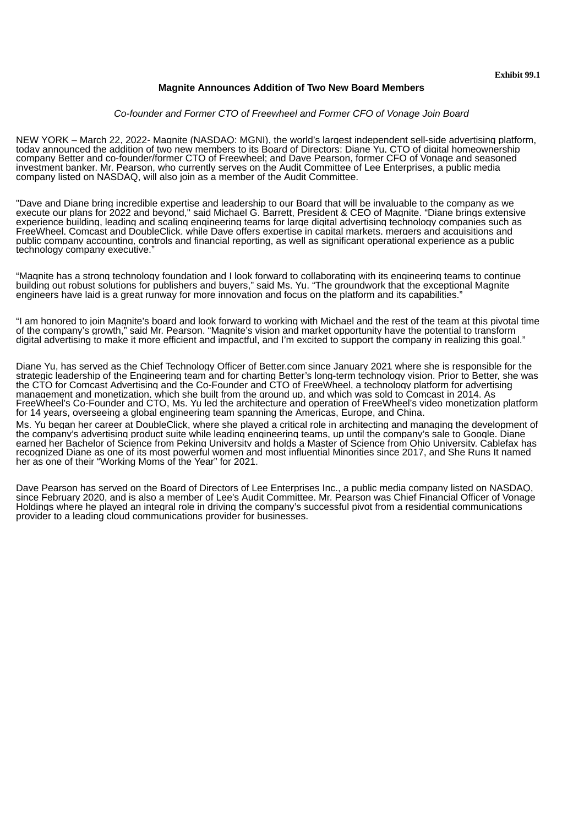### **Magnite Announces Addition of Two New Board Members**

#### *Co-founder and Former CTO of Freewheel and Former CFO of Vonage Join Board*

<span id="page-22-0"></span>NEW YORK – March 22, 2022- Magnite (NASDAQ: MGNI), the world's largest independent sell-side advertising platform, today announced the addition of two new members to its Board of Directors: Diane Yu, CTO of digital homeownership company Better and co-founder/former CTO of Freewheel; and Dave Pearson, former CFO of Vonage and seasoned investment banker. Mr. Pearson, who currently serves on the Audit Committee of Lee Enterprises, a public media company listed on NASDAQ, will also join as a member of the Audit Committee.

"Dave and Diane bring incredible expertise and leadership to our Board that will be invaluable to the company as we execute our plans for 2022 and beyond," said Michael G. Barrett, President & CEO of Magnite. "Diane brings extensive experience building, leading and scaling engineering teams for large digital advertising technology companies such as FreeWheel, Comcast and DoubleClick, while Dave offers expertise in capital markets, mergers and acquisitions and public company accounting, controls and financial reporting, as well as significant operational experience as a public technology company executive."

"Magnite has a strong technology foundation and I look forward to collaborating with its engineering teams to continue building out robust solutions for publishers and buyers," said Ms. Yu. "The groundwork that the exceptional Magnite engineers have laid is a great runway for more innovation and focus on the platform and its capabilities."

"I am honored to join Magnite's board and look forward to working with Michael and the rest of the team at this pivotal time of the company's growth," said Mr. Pearson. "Magnite's vision and market opportunity have the potential to transform digital advertising to make it more efficient and impactful, and I'm excited to support the company in realizing this goal."

Diane Yu, has served as the Chief Technology Officer of Better.com since January 2021 where she is responsible for the strategic leadership of the Engineering team and for charting Better's long-term technology vision. Prior to Better, she was the CTO for Comcast Advertising and the Co-Founder and CTO of FreeWheel, a technology platform for advertising management and monetization, which she built from the ground up, and which was sold to Comcast in 2014. As FreeWheel's Co-Founder and CTO, Ms. Yu led the architecture and operation of FreeWheel's video monetization platform for 14 years, overseeing a global engineering team spanning the Americas, Europe, and China.

Ms. Yu began her career at DoubleClick, where she played a critical role in architecting and managing the development of the company's advertising product suite while leading engineering teams, up until the company's sale to Google. Diane earned her Bachelor of Science from Peking University and holds a Master of Science from Ohio University. Cablefax has recognized Diane as one of its most powerful women and most influential Minorities since 2017, and She Runs It named her as one of their "Working Moms of the Year" for 2021.

Dave Pearson has served on the Board of Directors of Lee Enterprises Inc., a public media company listed on NASDAQ, since February 2020, and is also a member of Lee's Audit Committee. Mr. Pearson was Chief Financial Officer of Vonage Holdings where he played an integral role in driving the company's successful pivot from a residential communications provider to a leading cloud communications provider for businesses.